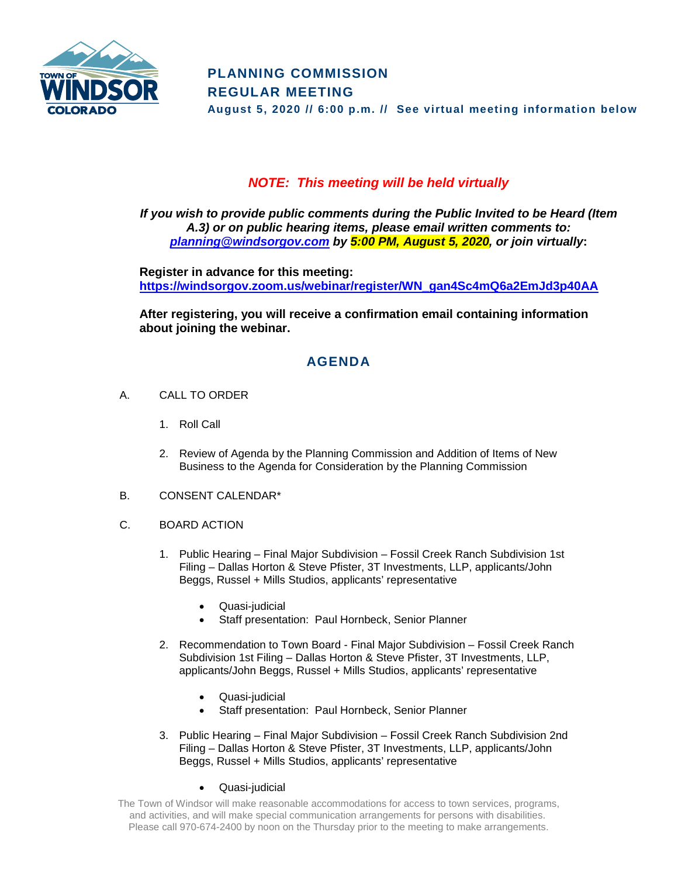

## *NOTE: This meeting will be held virtually*

*If you wish to provide public comments during the Public Invited to be Heard (Item A.3) or on public hearing items, please email written comments to: [planning@windsorgov.com](mailto:planning@windsorgov.com) by 5:00 PM, August 5, 2020, or join virtually***:**

**Register in advance for this meeting: https://windsorgov.zoom.us/webinar/register/WN\_gan4Sc4mQ6a2EmJd3p40AA**

**After registering, you will receive a confirmation email containing information about joining the webinar.**

## **AGENDA**

- A. CALL TO ORDER
	- 1. Roll Call
	- 2. Review of Agenda by the Planning Commission and Addition of Items of New Business to the Agenda for Consideration by the Planning Commission
- B. CONSENT CALENDAR\*
- C. BOARD ACTION
	- 1. Public Hearing Final Major Subdivision Fossil Creek Ranch Subdivision 1st Filing – Dallas Horton & Steve Pfister, 3T Investments, LLP, applicants/John Beggs, Russel + Mills Studios, applicants' representative
		- Quasi-judicial
		- Staff presentation: Paul Hornbeck, Senior Planner
	- 2. Recommendation to Town Board Final Major Subdivision Fossil Creek Ranch Subdivision 1st Filing – Dallas Horton & Steve Pfister, 3T Investments, LLP, applicants/John Beggs, Russel + Mills Studios, applicants' representative
		- Quasi-judicial
		- Staff presentation: Paul Hornbeck, Senior Planner
	- 3. Public Hearing Final Major Subdivision Fossil Creek Ranch Subdivision 2nd Filing – Dallas Horton & Steve Pfister, 3T Investments, LLP, applicants/John Beggs, Russel + Mills Studios, applicants' representative
		- Quasi-judicial

The Town of Windsor will make reasonable accommodations for access to town services, programs, and activities, and will make special communication arrangements for persons with disabilities. Please call 970-674-2400 by noon on the Thursday prior to the meeting to make arrangements.